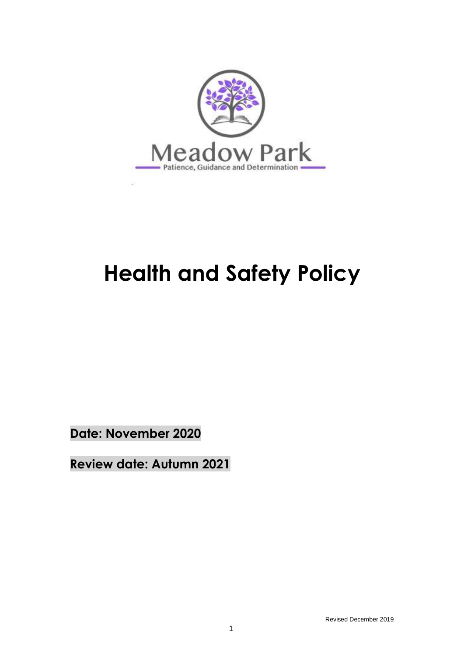

# **Health and Safety Policy**

**Date: November 2020**

**Review date: Autumn 2021**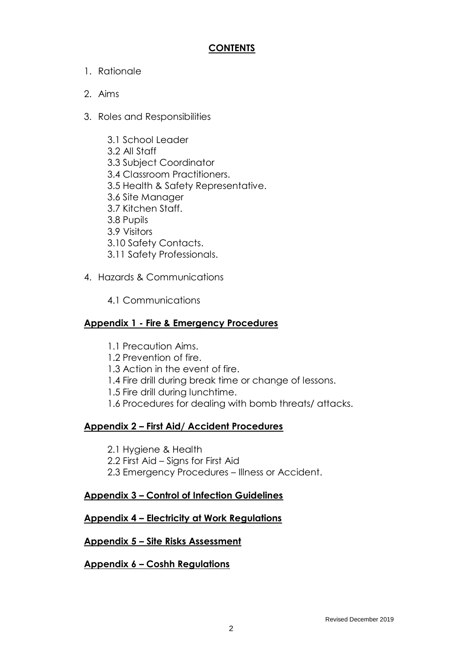#### **CONTENTS**

- 1. Rationale
- 2. Aims
- 3. Roles and Responsibilities
	- 3.1 School Leader
	- 3.2 All Staff
	- 3.3 Subject Coordinator
	- 3.4 Classroom Practitioners.
	- 3.5 Health & Safety Representative.
	- 3.6 Site Manager
	- 3.7 Kitchen Staff.
	- 3.8 Pupils
	- 3.9 Visitors
	- 3.10 Safety Contacts.
	- 3.11 Safety Professionals.
- 4. Hazards & Communications
	- 4.1 Communications

#### **Appendix 1 - Fire & Emergency Procedures**

- 1.1 Precaution Aims.
- 1.2 Prevention of fire.
- 1.3 Action in the event of fire.
- 1.4 Fire drill during break time or change of lessons.
- 1.5 Fire drill during lunchtime.
- 1.6 Procedures for dealing with bomb threats/ attacks.

#### **Appendix 2 – First Aid/ Accident Procedures**

- 2.1 Hygiene & Health
- 2.2 First Aid Signs for First Aid
- 2.3 Emergency Procedures Illness or Accident.

#### **Appendix 3 – Control of Infection Guidelines**

#### **Appendix 4 – Electricity at Work Regulations**

#### **Appendix 5 – Site Risks Assessment**

#### **Appendix 6 – Coshh Regulations**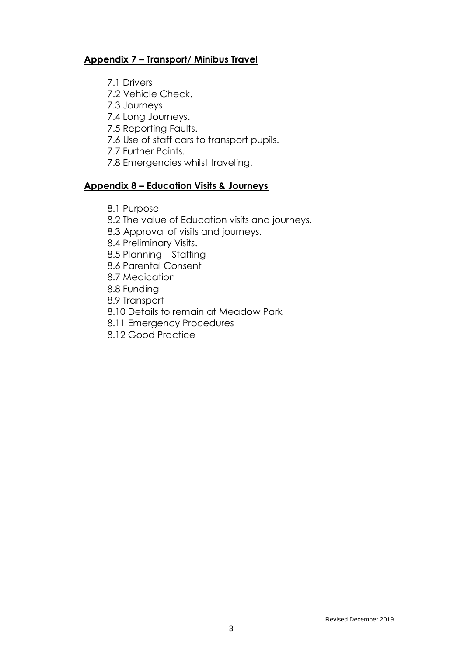#### **Appendix 7 – Transport/ Minibus Travel**

- 7.1 Drivers
- 7.2 Vehicle Check.
- 7.3 Journeys
- 7.4 Long Journeys.
- 7.5 Reporting Faults.
- 7.6 Use of staff cars to transport pupils.
- 7.7 Further Points.
- 7.8 Emergencies whilst traveling.

#### **Appendix 8 – Education Visits & Journeys**

- 8.1 Purpose
- 8.2 The value of Education visits and journeys.
- 8.3 Approval of visits and journeys.
- 8.4 Preliminary Visits.
- 8.5 Planning Staffing
- 8.6 Parental Consent
- 8.7 Medication
- 8.8 Funding
- 8.9 Transport
- 8.10 Details to remain at Meadow Park
- 8.11 Emergency Procedures
- 8.12 Good Practice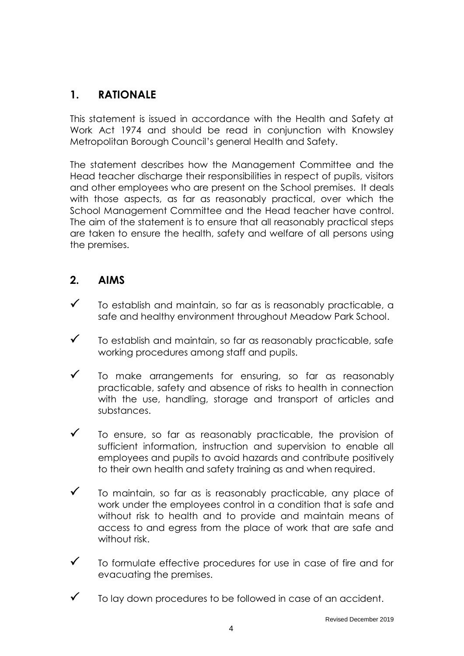# **1. RATIONALE**

This statement is issued in accordance with the Health and Safety at Work Act 1974 and should be read in conjunction with Knowsley Metropolitan Borough Council's general Health and Safety.

The statement describes how the Management Committee and the Head teacher discharge their responsibilities in respect of pupils, visitors and other employees who are present on the School premises. It deals with those aspects, as far as reasonably practical, over which the School Management Committee and the Head teacher have control. The aim of the statement is to ensure that all reasonably practical steps are taken to ensure the health, safety and welfare of all persons using the premises.

## **2. AIMS**

- $\checkmark$  To establish and maintain, so far as is reasonably practicable, a safe and healthy environment throughout Meadow Park School.
- $\checkmark$  To establish and maintain, so far as reasonably practicable, safe working procedures among staff and pupils.
- $\checkmark$  To make arrangements for ensuring, so far as reasonably practicable, safety and absence of risks to health in connection with the use, handling, storage and transport of articles and substances.
- $\checkmark$  To ensure, so far as reasonably practicable, the provision of sufficient information, instruction and supervision to enable all employees and pupils to avoid hazards and contribute positively to their own health and safety training as and when required.
- $\checkmark$  To maintain, so far as is reasonably practicable, any place of work under the employees control in a condition that is safe and without risk to health and to provide and maintain means of access to and egress from the place of work that are safe and without risk.
- $\checkmark$  To formulate effective procedures for use in case of fire and for evacuating the premises.
- To lay down procedures to be followed in case of an accident.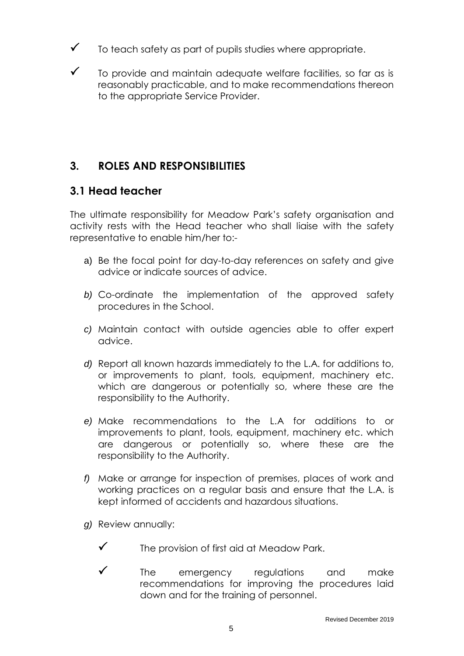- $\checkmark$  To teach safety as part of pupils studies where appropriate.
- $\checkmark$  To provide and maintain adequate welfare facilities, so far as is reasonably practicable, and to make recommendations thereon to the appropriate Service Provider.

# **3. ROLES AND RESPONSIBILITIES**

#### **3.1 Head teacher**

The ultimate responsibility for Meadow Park's safety organisation and activity rests with the Head teacher who shall liaise with the safety representative to enable him/her to:-

- a) Be the focal point for day-to-day references on safety and give advice or indicate sources of advice.
- *b)* Co-ordinate the implementation of the approved safety procedures in the School.
- *c)* Maintain contact with outside agencies able to offer expert advice.
- *d)* Report all known hazards immediately to the L.A. for additions to, or improvements to plant, tools, equipment, machinery etc. which are dangerous or potentially so, where these are the responsibility to the Authority.
- *e)* Make recommendations to the L.A for additions to or improvements to plant, tools, equipment, machinery etc. which are dangerous or potentially so, where these are the responsibility to the Authority.
- *f)* Make or arrange for inspection of premises, places of work and working practices on a regular basis and ensure that the L.A. is kept informed of accidents and hazardous situations.
- *g)* Review annually:
	- $\checkmark$  The provision of first aid at Meadow Park.
	- $\checkmark$  The emergency regulations and make recommendations for improving the procedures laid down and for the training of personnel.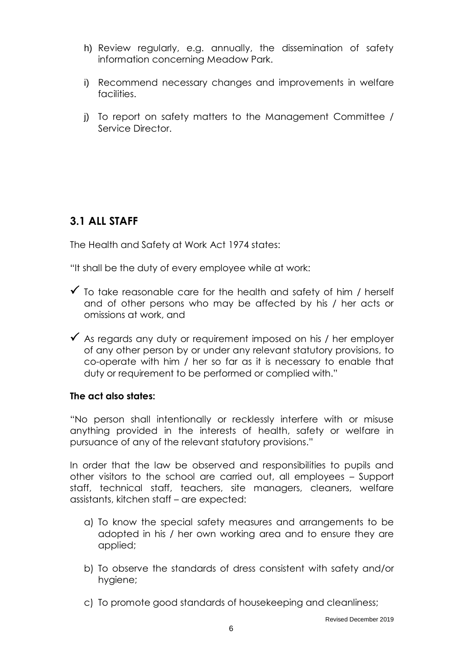- h) Review regularly, e.g. annually, the dissemination of safety information concerning Meadow Park.
- i) Recommend necessary changes and improvements in welfare facilities.
- j) To report on safety matters to the Management Committee / Service Director.

# **3.1 ALL STAFF**

The Health and Safety at Work Act 1974 states:

"It shall be the duty of every employee while at work:

- $\checkmark$  To take reasonable care for the health and safety of him / herself and of other persons who may be affected by his / her acts or omissions at work, and
- $\checkmark$  As regards any duty or requirement imposed on his / her employer of any other person by or under any relevant statutory provisions, to co-operate with him / her so far as it is necessary to enable that duty or requirement to be performed or complied with."

#### **The act also states:**

"No person shall intentionally or recklessly interfere with or misuse anything provided in the interests of health, safety or welfare in pursuance of any of the relevant statutory provisions."

In order that the law be observed and responsibilities to pupils and other visitors to the school are carried out, all employees – Support staff, technical staff, teachers, site managers, cleaners, welfare assistants, kitchen staff – are expected:

- a) To know the special safety measures and arrangements to be adopted in his / her own working area and to ensure they are applied;
- b) To observe the standards of dress consistent with safety and/or hygiene;
- c) To promote good standards of housekeeping and cleanliness;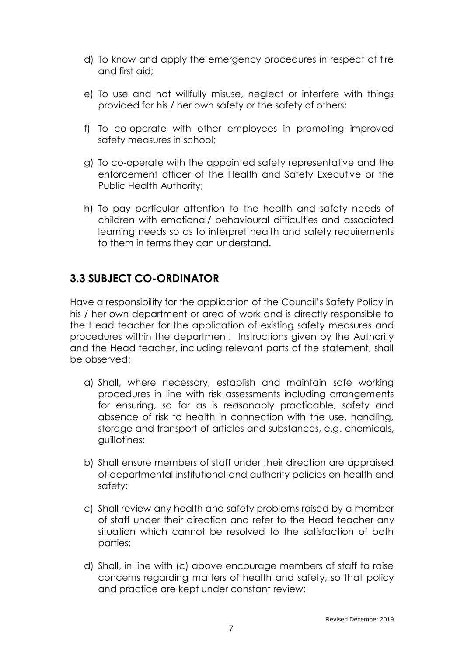- d) To know and apply the emergency procedures in respect of fire and first aid;
- e) To use and not willfully misuse, neglect or interfere with things provided for his / her own safety or the safety of others;
- f) To co-operate with other employees in promoting improved safety measures in school;
- g) To co-operate with the appointed safety representative and the enforcement officer of the Health and Safety Executive or the Public Health Authority;
- h) To pay particular attention to the health and safety needs of children with emotional/ behavioural difficulties and associated learning needs so as to interpret health and safety requirements to them in terms they can understand.

## **3.3 SUBJECT CO-ORDINATOR**

Have a responsibility for the application of the Council's Safety Policy in his / her own department or area of work and is directly responsible to the Head teacher for the application of existing safety measures and procedures within the department. Instructions given by the Authority and the Head teacher, including relevant parts of the statement, shall be observed:

- a) Shall, where necessary, establish and maintain safe working procedures in line with risk assessments including arrangements for ensuring, so far as is reasonably practicable, safety and absence of risk to health in connection with the use, handling, storage and transport of articles and substances, e.g. chemicals, guillotines;
- b) Shall ensure members of staff under their direction are appraised of departmental institutional and authority policies on health and safety;
- c) Shall review any health and safety problems raised by a member of staff under their direction and refer to the Head teacher any situation which cannot be resolved to the satisfaction of both parties;
- d) Shall, in line with (c) above encourage members of staff to raise concerns regarding matters of health and safety, so that policy and practice are kept under constant review;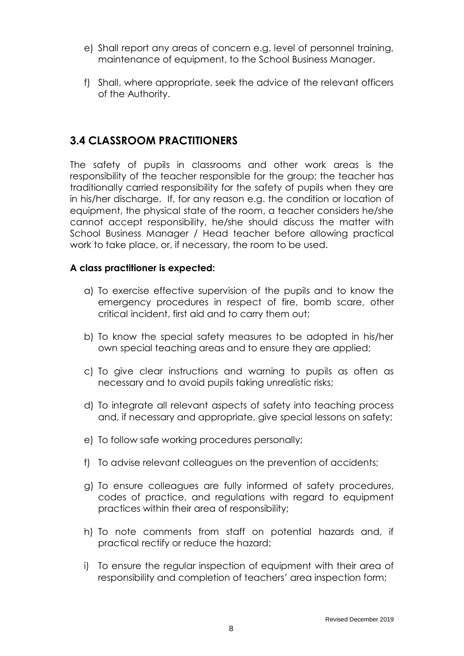- e) Shall report any areas of concern e.g. level of personnel training, maintenance of equipment, to the School Business Manager.
- f) Shall, where appropriate, seek the advice of the relevant officers of the Authority.

#### **3.4 CLASSROOM PRACTITIONERS**

The safety of pupils in classrooms and other work areas is the responsibility of the teacher responsible for the group; the teacher has traditionally carried responsibility for the safety of pupils when they are in his/her discharge. If, for any reason e.g. the condition or location of equipment, the physical state of the room, a teacher considers he/she cannot accept responsibility, he/she should discuss the matter with School Business Manager / Head teacher before allowing practical work to take place, or, if necessary, the room to be used.

#### **A class practitioner is expected:**

- a) To exercise effective supervision of the pupils and to know the emergency procedures in respect of fire, bomb scare, other critical incident, first aid and to carry them out;
- b) To know the special safety measures to be adopted in his/her own special teaching areas and to ensure they are applied;
- c) To give clear instructions and warning to pupils as often as necessary and to avoid pupils taking unrealistic risks;
- d) To integrate all relevant aspects of safety into teaching process and, if necessary and appropriate, give special lessons on safety;
- e) To follow safe working procedures personally;
- f) To advise relevant colleagues on the prevention of accidents;
- g) To ensure colleagues are fully informed of safety procedures, codes of practice, and regulations with regard to equipment practices within their area of responsibility;
- h) To note comments from staff on potential hazards and, if practical rectify or reduce the hazard;
- i) To ensure the regular inspection of equipment with their area of responsibility and completion of teachers' area inspection form;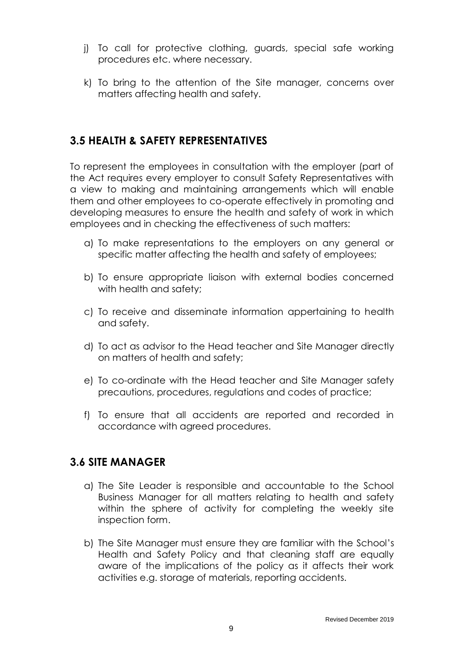- j) To call for protective clothing, guards, special safe working procedures etc. where necessary.
- k) To bring to the attention of the Site manager, concerns over matters affecting health and safety.

#### **3.5 HEALTH & SAFETY REPRESENTATIVES**

To represent the employees in consultation with the employer (part of the Act requires every employer to consult Safety Representatives with a view to making and maintaining arrangements which will enable them and other employees to co-operate effectively in promoting and developing measures to ensure the health and safety of work in which employees and in checking the effectiveness of such matters:

- a) To make representations to the employers on any general or specific matter affecting the health and safety of employees;
- b) To ensure appropriate liaison with external bodies concerned with health and safety;
- c) To receive and disseminate information appertaining to health and safety.
- d) To act as advisor to the Head teacher and Site Manager directly on matters of health and safety;
- e) To co-ordinate with the Head teacher and Site Manager safety precautions, procedures, regulations and codes of practice;
- f) To ensure that all accidents are reported and recorded in accordance with agreed procedures.

#### **3.6 SITE MANAGER**

- a) The Site Leader is responsible and accountable to the School Business Manager for all matters relating to health and safety within the sphere of activity for completing the weekly site inspection form.
- b) The Site Manager must ensure they are familiar with the School's Health and Safety Policy and that cleaning staff are equally aware of the implications of the policy as it affects their work activities e.g. storage of materials, reporting accidents.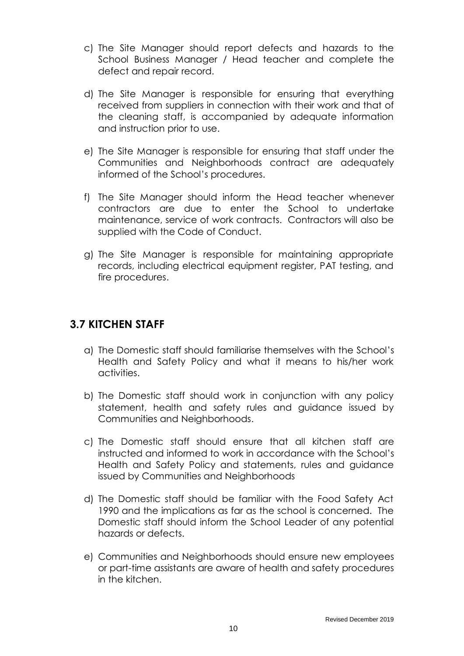- c) The Site Manager should report defects and hazards to the School Business Manager / Head teacher and complete the defect and repair record.
- d) The Site Manager is responsible for ensuring that everything received from suppliers in connection with their work and that of the cleaning staff, is accompanied by adequate information and instruction prior to use.
- e) The Site Manager is responsible for ensuring that staff under the Communities and Neighborhoods contract are adequately informed of the School's procedures.
- f) The Site Manager should inform the Head teacher whenever contractors are due to enter the School to undertake maintenance, service of work contracts. Contractors will also be supplied with the Code of Conduct.
- g) The Site Manager is responsible for maintaining appropriate records, including electrical equipment register, PAT testing, and fire procedures.

## **3.7 KITCHEN STAFF**

- a) The Domestic staff should familiarise themselves with the School's Health and Safety Policy and what it means to his/her work activities.
- b) The Domestic staff should work in conjunction with any policy statement, health and safety rules and guidance issued by Communities and Neighborhoods.
- c) The Domestic staff should ensure that all kitchen staff are instructed and informed to work in accordance with the School's Health and Safety Policy and statements, rules and guidance issued by Communities and Neighborhoods
- d) The Domestic staff should be familiar with the Food Safety Act 1990 and the implications as far as the school is concerned. The Domestic staff should inform the School Leader of any potential hazards or defects.
- e) Communities and Neighborhoods should ensure new employees or part-time assistants are aware of health and safety procedures in the kitchen.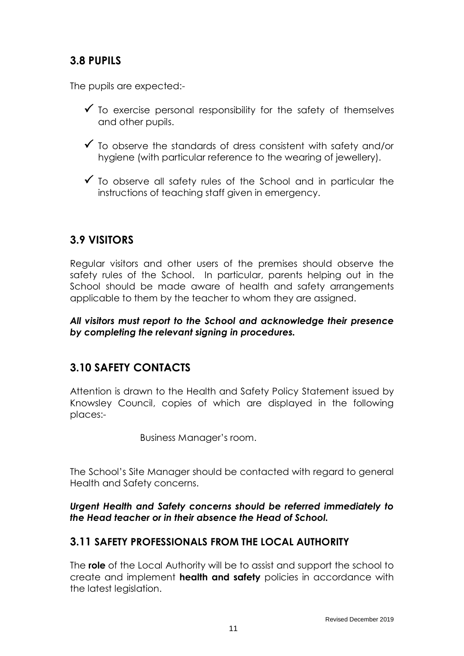# **3.8 PUPILS**

The pupils are expected:-

- $\checkmark$  To exercise personal responsibility for the safety of themselves and other pupils.
- $\checkmark$  To observe the standards of dress consistent with safety and/or hygiene (with particular reference to the wearing of jewellery).
- $\checkmark$  To observe all safety rules of the School and in particular the instructions of teaching staff given in emergency.

# **3.9 VISITORS**

Regular visitors and other users of the premises should observe the safety rules of the School. In particular, parents helping out in the School should be made aware of health and safety arrangements applicable to them by the teacher to whom they are assigned.

*All visitors must report to the School and acknowledge their presence by completing the relevant signing in procedures.*

# **3.10 SAFETY CONTACTS**

Attention is drawn to the Health and Safety Policy Statement issued by Knowsley Council, copies of which are displayed in the following places:-

Business Manager's room.

The School's Site Manager should be contacted with regard to general Health and Safety concerns.

*Urgent Health and Safety concerns should be referred immediately to the Head teacher or in their absence the Head of School.*

## **3.11 SAFETY PROFESSIONALS FROM THE LOCAL AUTHORITY**

The **role** of the Local Authority will be to assist and support the school to create and implement **health and safety** policies in accordance with the latest legislation.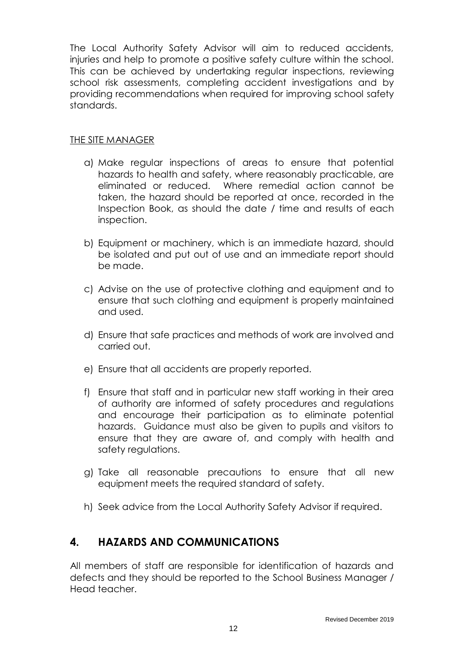The Local Authority Safety Advisor will aim to reduced accidents, injuries and help to promote a positive safety culture within the school. This can be achieved by undertaking regular inspections, reviewing school risk assessments, completing accident investigations and by providing recommendations when required for improving school safety standards.

#### THE SITE MANAGER

- a) Make regular inspections of areas to ensure that potential hazards to health and safety, where reasonably practicable, are eliminated or reduced. Where remedial action cannot be taken, the hazard should be reported at once, recorded in the Inspection Book, as should the date / time and results of each inspection.
- b) Equipment or machinery, which is an immediate hazard, should be isolated and put out of use and an immediate report should be made.
- c) Advise on the use of protective clothing and equipment and to ensure that such clothing and equipment is properly maintained and used.
- d) Ensure that safe practices and methods of work are involved and carried out.
- e) Ensure that all accidents are properly reported.
- f) Ensure that staff and in particular new staff working in their area of authority are informed of safety procedures and regulations and encourage their participation as to eliminate potential hazards. Guidance must also be given to pupils and visitors to ensure that they are aware of, and comply with health and safety regulations.
- g) Take all reasonable precautions to ensure that all new equipment meets the required standard of safety.
- h) Seek advice from the Local Authority Safety Advisor if required.

## **4. HAZARDS AND COMMUNICATIONS**

All members of staff are responsible for identification of hazards and defects and they should be reported to the School Business Manager / Head teacher.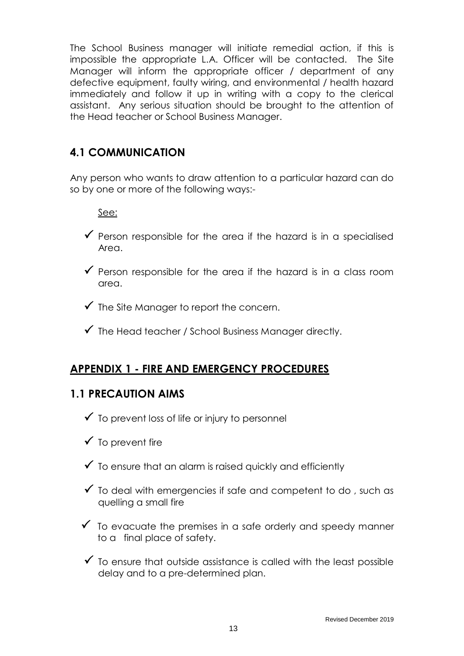The School Business manager will initiate remedial action, if this is impossible the appropriate L.A. Officer will be contacted. The Site Manager will inform the appropriate officer / department of any defective equipment, faulty wiring, and environmental / health hazard immediately and follow it up in writing with a copy to the clerical assistant. Any serious situation should be brought to the attention of the Head teacher or School Business Manager.

# **4.1 COMMUNICATION**

Any person who wants to draw attention to a particular hazard can do so by one or more of the following ways:-

See:

- $\checkmark$  Person responsible for the area if the hazard is in a specialised Area.
- $\checkmark$  Person responsible for the area if the hazard is in a class room area.
- $\checkmark$  The Site Manager to report the concern.
- $\checkmark$  The Head teacher / School Business Manager directly.

# **APPENDIX 1 - FIRE AND EMERGENCY PROCEDURES**

#### **1.1 PRECAUTION AIMS**

- $\checkmark$  To prevent loss of life or injury to personnel
- $\checkmark$  To prevent fire
- $\checkmark$  To ensure that an alarm is raised quickly and efficiently
- $\checkmark$  To deal with emergencies if safe and competent to do, such as quelling a small fire
- $\checkmark$  To evacuate the premises in a safe orderly and speedy manner to a final place of safety.
- $\checkmark$  To ensure that outside assistance is called with the least possible delay and to a pre-determined plan.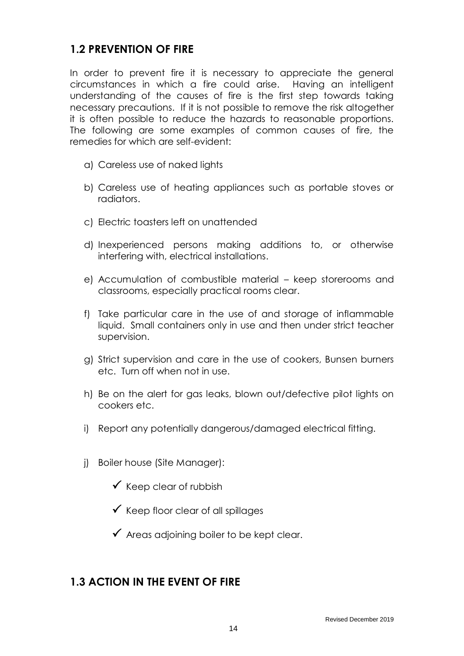#### **1.2 PREVENTION OF FIRE**

In order to prevent fire it is necessary to appreciate the general circumstances in which a fire could arise. Having an intelligent understanding of the causes of fire is the first step towards taking necessary precautions. If it is not possible to remove the risk altogether it is often possible to reduce the hazards to reasonable proportions. The following are some examples of common causes of fire, the remedies for which are self-evident:

- a) Careless use of naked lights
- b) Careless use of heating appliances such as portable stoves or radiators.
- c) Electric toasters left on unattended
- d) Inexperienced persons making additions to, or otherwise interfering with, electrical installations.
- e) Accumulation of combustible material keep storerooms and classrooms, especially practical rooms clear.
- f) Take particular care in the use of and storage of inflammable liquid. Small containers only in use and then under strict teacher supervision.
- g) Strict supervision and care in the use of cookers, Bunsen burners etc. Turn off when not in use.
- h) Be on the alert for gas leaks, blown out/defective pilot lights on cookers etc.
- i) Report any potentially dangerous/damaged electrical fitting.
- j) Boiler house (Site Manager):
	- $\checkmark$  Keep clear of rubbish
	- $\checkmark$  Keep floor clear of all spillages
	- $\checkmark$  Areas adjoining boiler to be kept clear.

## **1.3 ACTION IN THE EVENT OF FIRE**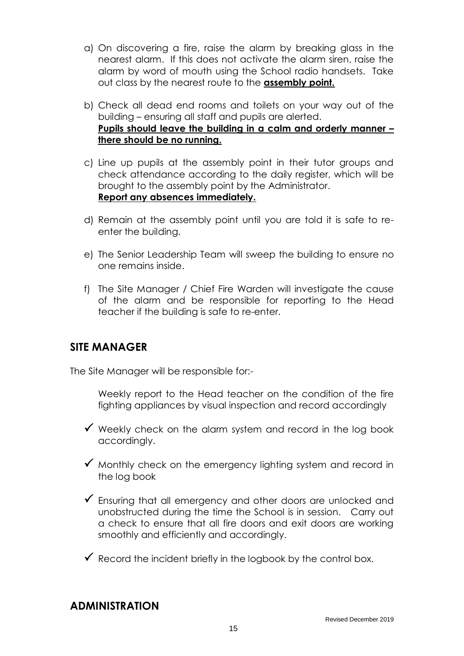- a) On discovering a fire, raise the alarm by breaking glass in the nearest alarm. If this does not activate the alarm siren, raise the alarm by word of mouth using the School radio handsets. Take out class by the nearest route to the **assembly point.**
- b) Check all dead end rooms and toilets on your way out of the building – ensuring all staff and pupils are alerted. **Pupils should leave the building in a calm and orderly manner – there should be no running.**
- c) Line up pupils at the assembly point in their tutor groups and check attendance according to the daily register, which will be brought to the assembly point by the Administrator. **Report any absences immediately.**
- d) Remain at the assembly point until you are told it is safe to reenter the building.
- e) The Senior Leadership Team will sweep the building to ensure no one remains inside.
- f) The Site Manager / Chief Fire Warden will investigate the cause of the alarm and be responsible for reporting to the Head teacher if the building is safe to re-enter.

#### **SITE MANAGER**

The Site Manager will be responsible for:-

Weekly report to the Head teacher on the condition of the fire fighting appliances by visual inspection and record accordingly

- $\checkmark$  Weekly check on the alarm system and record in the log book accordingly.
- $\checkmark$  Monthly check on the emergency lighting system and record in the log book
- Ensuring that all emergency and other doors are unlocked and unobstructed during the time the School is in session. Carry out a check to ensure that all fire doors and exit doors are working smoothly and efficiently and accordingly.
- $\checkmark$  Record the incident briefly in the logbook by the control box.

## **ADMINISTRATION**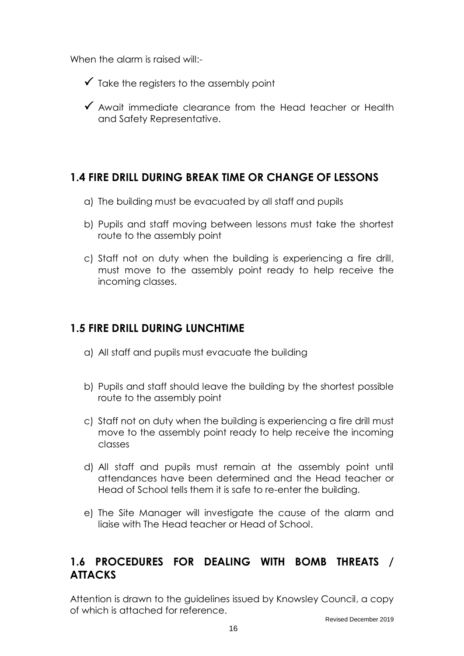When the alarm is raised will:-

- $\checkmark$  Take the registers to the assembly point
- $\checkmark$  Await immediate clearance from the Head teacher or Health and Safety Representative.

#### **1.4 FIRE DRILL DURING BREAK TIME OR CHANGE OF LESSONS**

- a) The building must be evacuated by all staff and pupils
- b) Pupils and staff moving between lessons must take the shortest route to the assembly point
- c) Staff not on duty when the building is experiencing a fire drill, must move to the assembly point ready to help receive the incoming classes.

# **1.5 FIRE DRILL DURING LUNCHTIME**

- a) All staff and pupils must evacuate the building
- b) Pupils and staff should leave the building by the shortest possible route to the assembly point
- c) Staff not on duty when the building is experiencing a fire drill must move to the assembly point ready to help receive the incoming classes
- d) All staff and pupils must remain at the assembly point until attendances have been determined and the Head teacher or Head of School tells them it is safe to re-enter the building.
- e) The Site Manager will investigate the cause of the alarm and liaise with The Head teacher or Head of School.

# **1.6 PROCEDURES FOR DEALING WITH BOMB THREATS / ATTACKS**

Attention is drawn to the guidelines issued by Knowsley Council, a copy of which is attached for reference.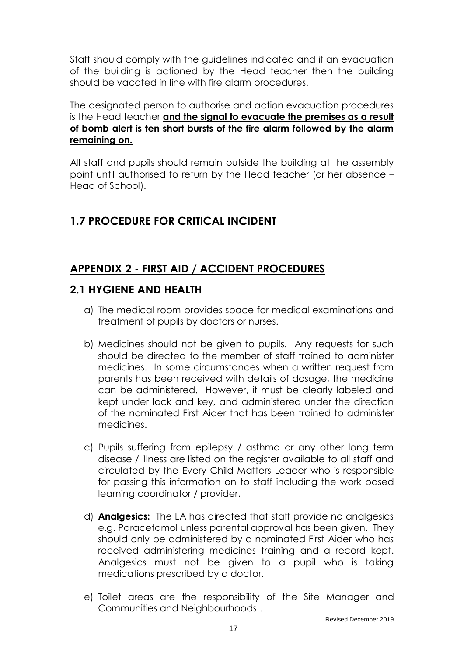Staff should comply with the guidelines indicated and if an evacuation of the building is actioned by the Head teacher then the building should be vacated in line with fire alarm procedures.

The designated person to authorise and action evacuation procedures is the Head teacher **and the signal to evacuate the premises as a result of bomb alert is ten short bursts of the fire alarm followed by the alarm remaining on.**

All staff and pupils should remain outside the building at the assembly point until authorised to return by the Head teacher (or her absence – Head of School).

# **1.7 PROCEDURE FOR CRITICAL INCIDENT**

# **APPENDIX 2 - FIRST AID / ACCIDENT PROCEDURES**

## **2.1 HYGIENE AND HEALTH**

- a) The medical room provides space for medical examinations and treatment of pupils by doctors or nurses.
- b) Medicines should not be given to pupils. Any requests for such should be directed to the member of staff trained to administer medicines. In some circumstances when a written request from parents has been received with details of dosage, the medicine can be administered. However, it must be clearly labeled and kept under lock and key, and administered under the direction of the nominated First Aider that has been trained to administer medicines.
- c) Pupils suffering from epilepsy / asthma or any other long term disease / illness are listed on the register available to all staff and circulated by the Every Child Matters Leader who is responsible for passing this information on to staff including the work based learning coordinator / provider.
- d) **Analgesics:** The LA has directed that staff provide no analgesics e.g. Paracetamol unless parental approval has been given. They should only be administered by a nominated First Aider who has received administering medicines training and a record kept. Analgesics must not be given to a pupil who is taking medications prescribed by a doctor.
- e) Toilet areas are the responsibility of the Site Manager and Communities and Neighbourhoods .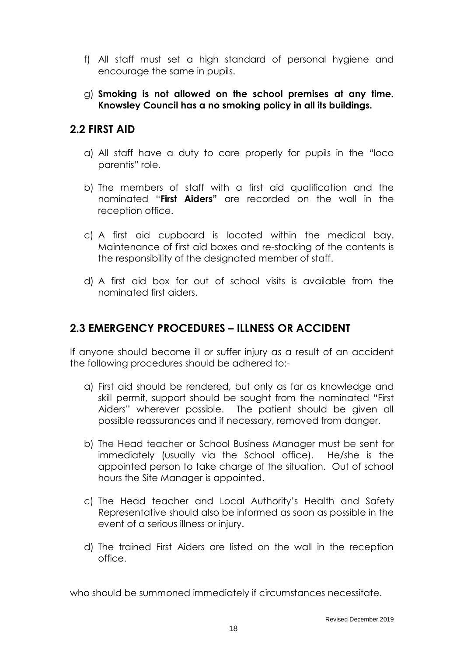- f) All staff must set a high standard of personal hygiene and encourage the same in pupils.
- g) **Smoking is not allowed on the school premises at any time. Knowsley Council has a no smoking policy in all its buildings.**

## **2.2 FIRST AID**

- a) All staff have a duty to care properly for pupils in the "loco parentis" role.
- b) The members of staff with a first aid qualification and the nominated "**First Aiders"** are recorded on the wall in the reception office.
- c) A first aid cupboard is located within the medical bay. Maintenance of first aid boxes and re-stocking of the contents is the responsibility of the designated member of staff.
- d) A first aid box for out of school visits is available from the nominated first aiders.

#### **2.3 EMERGENCY PROCEDURES – ILLNESS OR ACCIDENT**

If anyone should become ill or suffer injury as a result of an accident the following procedures should be adhered to:-

- a) First aid should be rendered, but only as far as knowledge and skill permit, support should be sought from the nominated "First Aiders" wherever possible. The patient should be given all possible reassurances and if necessary, removed from danger.
- b) The Head teacher or School Business Manager must be sent for immediately (usually via the School office). He/she is the appointed person to take charge of the situation. Out of school hours the Site Manager is appointed.
- c) The Head teacher and Local Authority's Health and Safety Representative should also be informed as soon as possible in the event of a serious illness or injury.
- d) The trained First Aiders are listed on the wall in the reception office.

who should be summoned immediately if circumstances necessitate.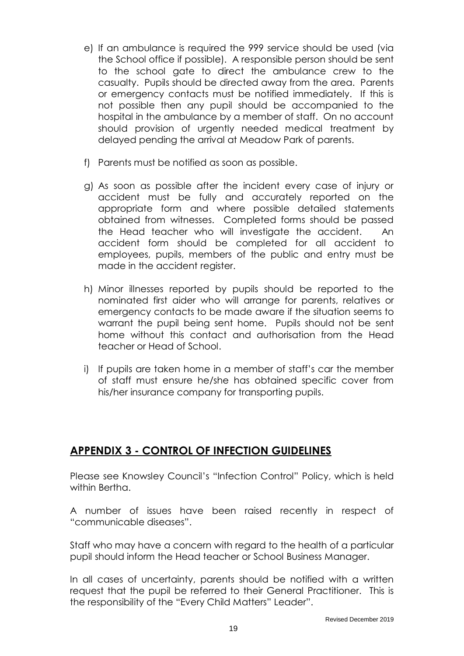- e) If an ambulance is required the 999 service should be used (via the School office if possible). A responsible person should be sent to the school gate to direct the ambulance crew to the casualty. Pupils should be directed away from the area. Parents or emergency contacts must be notified immediately. If this is not possible then any pupil should be accompanied to the hospital in the ambulance by a member of staff. On no account should provision of urgently needed medical treatment by delayed pending the arrival at Meadow Park of parents.
- f) Parents must be notified as soon as possible.
- g) As soon as possible after the incident every case of injury or accident must be fully and accurately reported on the appropriate form and where possible detailed statements obtained from witnesses. Completed forms should be passed the Head teacher who will investigate the accident. An accident form should be completed for all accident to employees, pupils, members of the public and entry must be made in the accident register.
- h) Minor illnesses reported by pupils should be reported to the nominated first aider who will arrange for parents, relatives or emergency contacts to be made aware if the situation seems to warrant the pupil being sent home. Pupils should not be sent home without this contact and authorisation from the Head teacher or Head of School.
- i) If pupils are taken home in a member of staff's car the member of staff must ensure he/she has obtained specific cover from his/her insurance company for transporting pupils.

# **APPENDIX 3 - CONTROL OF INFECTION GUIDELINES**

Please see Knowsley Council's "Infection Control" Policy, which is held within Bertha.

A number of issues have been raised recently in respect of "communicable diseases".

Staff who may have a concern with regard to the health of a particular pupil should inform the Head teacher or School Business Manager.

In all cases of uncertainty, parents should be notified with a written request that the pupil be referred to their General Practitioner. This is the responsibility of the "Every Child Matters" Leader".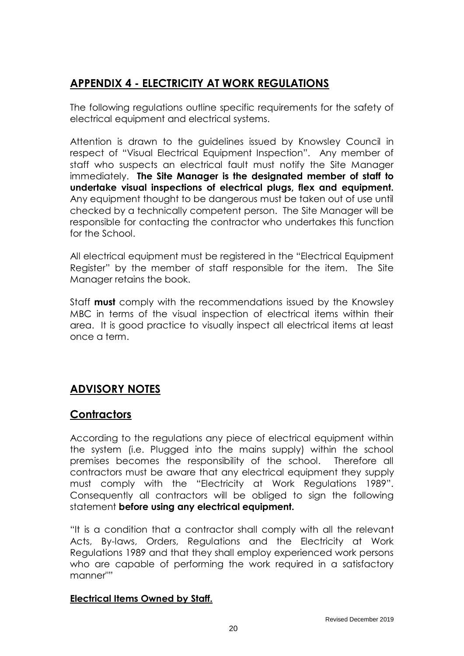# **APPENDIX 4 - ELECTRICITY AT WORK REGULATIONS**

The following regulations outline specific requirements for the safety of electrical equipment and electrical systems.

Attention is drawn to the guidelines issued by Knowsley Council in respect of "Visual Electrical Equipment Inspection". Any member of staff who suspects an electrical fault must notify the Site Manager immediately. **The Site Manager is the designated member of staff to undertake visual inspections of electrical plugs, flex and equipment.**  Any equipment thought to be dangerous must be taken out of use until checked by a technically competent person. The Site Manager will be responsible for contacting the contractor who undertakes this function for the School.

All electrical equipment must be registered in the "Electrical Equipment Register" by the member of staff responsible for the item. The Site Manager retains the book.

Staff **must** comply with the recommendations issued by the Knowsley MBC in terms of the visual inspection of electrical items within their area. It is good practice to visually inspect all electrical items at least once a term.

# **ADVISORY NOTES**

#### **Contractors**

According to the regulations any piece of electrical equipment within the system (i.e. Plugged into the mains supply) within the school premises becomes the responsibility of the school. Therefore all contractors must be aware that any electrical equipment they supply must comply with the "Electricity at Work Regulations 1989". Consequently all contractors will be obliged to sign the following statement **before using any electrical equipment.**

"It is a condition that a contractor shall comply with all the relevant Acts, By-laws, Orders, Regulations and the Electricity at Work Regulations 1989 and that they shall employ experienced work persons who are capable of performing the work required in a satisfactory manner""

#### **Electrical Items Owned by Staff.**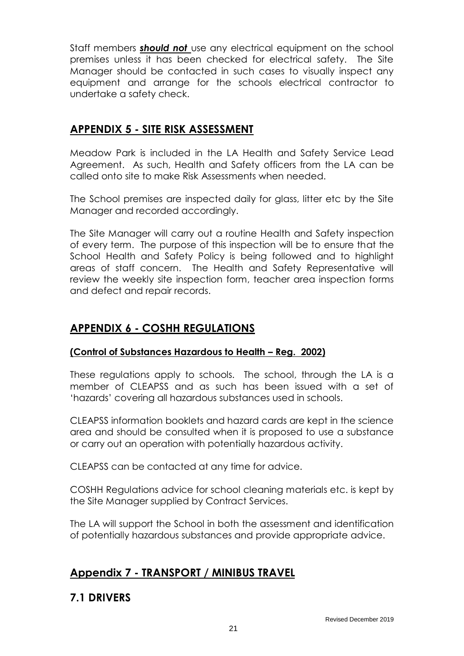Staff members *should not* use any electrical equipment on the school premises unless it has been checked for electrical safety. The Site Manager should be contacted in such cases to visually inspect any equipment and arrange for the schools electrical contractor to undertake a safety check.

## **APPENDIX 5 - SITE RISK ASSESSMENT**

Meadow Park is included in the LA Health and Safety Service Lead Agreement. As such, Health and Safety officers from the LA can be called onto site to make Risk Assessments when needed.

The School premises are inspected daily for glass, litter etc by the Site Manager and recorded accordingly.

The Site Manager will carry out a routine Health and Safety inspection of every term. The purpose of this inspection will be to ensure that the School Health and Safety Policy is being followed and to highlight areas of staff concern. The Health and Safety Representative will review the weekly site inspection form, teacher area inspection forms and defect and repair records.

# **APPENDIX 6 - COSHH REGULATIONS**

#### **(Control of Substances Hazardous to Health – Reg. 2002)**

These regulations apply to schools. The school, through the LA is a member of CLEAPSS and as such has been issued with a set of 'hazards' covering all hazardous substances used in schools.

CLEAPSS information booklets and hazard cards are kept in the science area and should be consulted when it is proposed to use a substance or carry out an operation with potentially hazardous activity.

CLEAPSS can be contacted at any time for advice.

COSHH Regulations advice for school cleaning materials etc. is kept by the Site Manager supplied by Contract Services.

The LA will support the School in both the assessment and identification of potentially hazardous substances and provide appropriate advice.

# **Appendix 7 - TRANSPORT / MINIBUS TRAVEL**

#### **7.1 DRIVERS**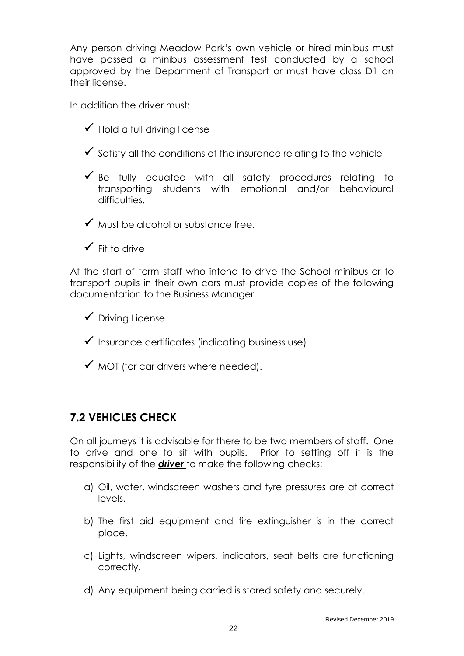Any person driving Meadow Park's own vehicle or hired minibus must have passed a minibus assessment test conducted by a school approved by the Department of Transport or must have class D1 on their license.

In addition the driver must:

- $\checkmark$  Hold a full driving license
- $\checkmark$  Satisfy all the conditions of the insurance relating to the vehicle
- $\checkmark$  Be fully equated with all safety procedures relating to transporting students with emotional and/or behavioural difficulties.

 $\checkmark$  Must be alcohol or substance free.

 $\checkmark$  Fit to drive

At the start of term staff who intend to drive the School minibus or to transport pupils in their own cars must provide copies of the following documentation to the Business Manager.

 $\checkmark$  Driving License

- $\checkmark$  Insurance certificates (indicating business use)
- $\checkmark$  MOT (for car drivers where needed).

# **7.2 VEHICLES CHECK**

On all journeys it is advisable for there to be two members of staff. One to drive and one to sit with pupils. Prior to setting off it is the responsibility of the *driver* to make the following checks:

- a) Oil, water, windscreen washers and tyre pressures are at correct levels.
- b) The first aid equipment and fire extinguisher is in the correct place.
- c) Lights, windscreen wipers, indicators, seat belts are functioning correctly.
- d) Any equipment being carried is stored safety and securely.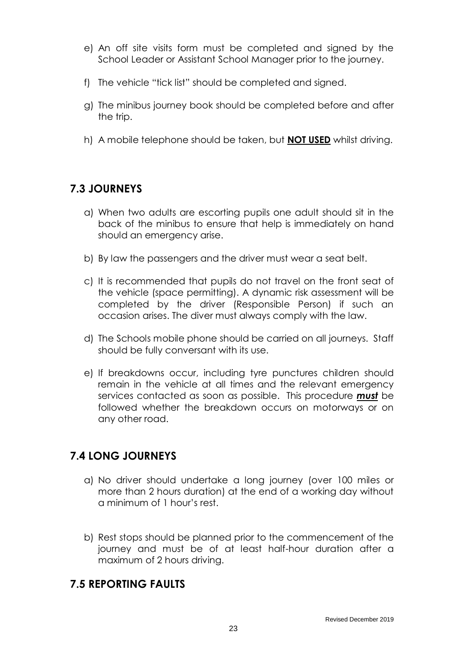- e) An off site visits form must be completed and signed by the School Leader or Assistant School Manager prior to the journey.
- f) The vehicle "tick list" should be completed and signed.
- g) The minibus journey book should be completed before and after the trip.
- h) A mobile telephone should be taken, but **NOT USED** whilst driving.

# **7.3 JOURNEYS**

- a) When two adults are escorting pupils one adult should sit in the back of the minibus to ensure that help is immediately on hand should an emergency arise.
- b) By law the passengers and the driver must wear a seat belt.
- c) It is recommended that pupils do not travel on the front seat of the vehicle (space permitting). A dynamic risk assessment will be completed by the driver (Responsible Person) if such an occasion arises. The diver must always comply with the law.
- d) The Schools mobile phone should be carried on all journeys. Staff should be fully conversant with its use.
- e) If breakdowns occur, including tyre punctures children should remain in the vehicle at all times and the relevant emergency services contacted as soon as possible. This procedure *must* be followed whether the breakdown occurs on motorways or on any other road.

# **7.4 LONG JOURNEYS**

- a) No driver should undertake a long journey (over 100 miles or more than 2 hours duration) at the end of a working day without a minimum of 1 hour's rest.
- b) Rest stops should be planned prior to the commencement of the journey and must be of at least half-hour duration after a maximum of 2 hours driving.

## **7.5 REPORTING FAULTS**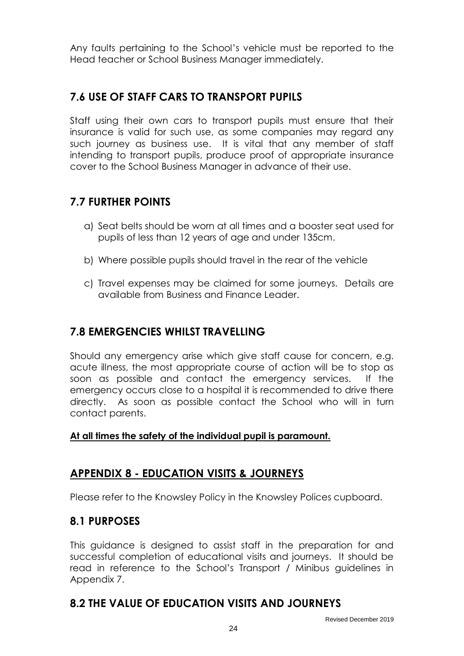Any faults pertaining to the School's vehicle must be reported to the Head teacher or School Business Manager immediately.

# **7.6 USE OF STAFF CARS TO TRANSPORT PUPILS**

Staff using their own cars to transport pupils must ensure that their insurance is valid for such use, as some companies may regard any such journey as business use. It is vital that any member of staff intending to transport pupils, produce proof of appropriate insurance cover to the School Business Manager in advance of their use.

## **7.7 FURTHER POINTS**

- a) Seat belts should be worn at all times and a booster seat used for pupils of less than 12 years of age and under 135cm.
- b) Where possible pupils should travel in the rear of the vehicle
- c) Travel expenses may be claimed for some journeys. Details are available from Business and Finance Leader.

## **7.8 EMERGENCIES WHILST TRAVELLING**

Should any emergency arise which give staff cause for concern, e.g. acute illness, the most appropriate course of action will be to stop as soon as possible and contact the emergency services. If the emergency occurs close to a hospital it is recommended to drive there directly. As soon as possible contact the School who will in turn contact parents.

#### **At all times the safety of the individual pupil is paramount.**

## **APPENDIX 8 - EDUCATION VISITS & JOURNEYS**

Please refer to the Knowsley Policy in the Knowsley Polices cupboard.

#### **8.1 PURPOSES**

This guidance is designed to assist staff in the preparation for and successful completion of educational visits and journeys. It should be read in reference to the School's Transport / Minibus guidelines in Appendix 7.

#### **8.2 THE VALUE OF EDUCATION VISITS AND JOURNEYS**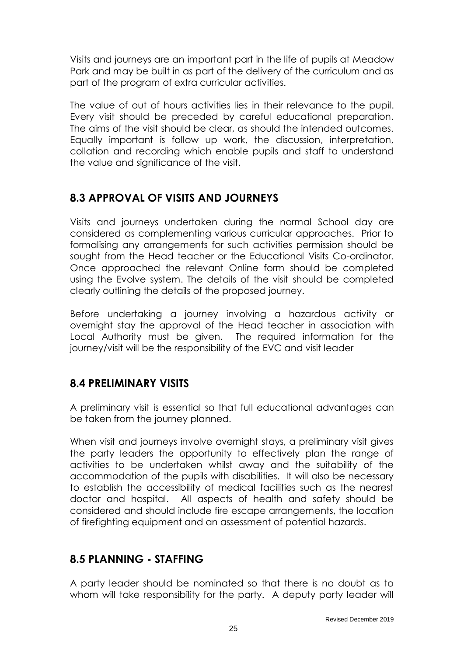Visits and journeys are an important part in the life of pupils at Meadow Park and may be built in as part of the delivery of the curriculum and as part of the program of extra curricular activities.

The value of out of hours activities lies in their relevance to the pupil. Every visit should be preceded by careful educational preparation. The aims of the visit should be clear, as should the intended outcomes. Equally important is follow up work, the discussion, interpretation, collation and recording which enable pupils and staff to understand the value and significance of the visit.

# **8.3 APPROVAL OF VISITS AND JOURNEYS**

Visits and journeys undertaken during the normal School day are considered as complementing various curricular approaches. Prior to formalising any arrangements for such activities permission should be sought from the Head teacher or the Educational Visits Co-ordinator. Once approached the relevant Online form should be completed using the Evolve system. The details of the visit should be completed clearly outlining the details of the proposed journey.

Before undertaking a journey involving a hazardous activity or overnight stay the approval of the Head teacher in association with Local Authority must be given. The required information for the journey/visit will be the responsibility of the EVC and visit leader

## **8.4 PRELIMINARY VISITS**

A preliminary visit is essential so that full educational advantages can be taken from the journey planned.

When visit and journeys involve overnight stays, a preliminary visit gives the party leaders the opportunity to effectively plan the range of activities to be undertaken whilst away and the suitability of the accommodation of the pupils with disabilities. It will also be necessary to establish the accessibility of medical facilities such as the nearest doctor and hospital. All aspects of health and safety should be considered and should include fire escape arrangements, the location of firefighting equipment and an assessment of potential hazards.

## **8.5 PLANNING - STAFFING**

A party leader should be nominated so that there is no doubt as to whom will take responsibility for the party. A deputy party leader will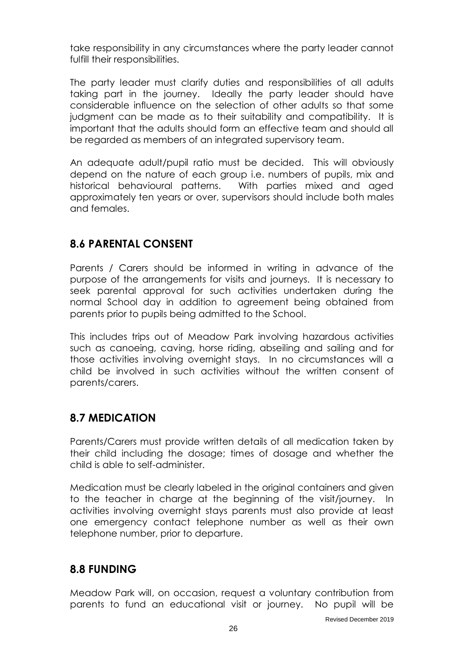take responsibility in any circumstances where the party leader cannot fulfill their responsibilities.

The party leader must clarify duties and responsibilities of all adults taking part in the journey. Ideally the party leader should have considerable influence on the selection of other adults so that some judgment can be made as to their suitability and compatibility. It is important that the adults should form an effective team and should all be regarded as members of an integrated supervisory team.

An adequate adult/pupil ratio must be decided. This will obviously depend on the nature of each group i.e. numbers of pupils, mix and historical behavioural patterns. With parties mixed and aged approximately ten years or over, supervisors should include both males and females.

## **8.6 PARENTAL CONSENT**

Parents / Carers should be informed in writing in advance of the purpose of the arrangements for visits and journeys. It is necessary to seek parental approval for such activities undertaken during the normal School day in addition to agreement being obtained from parents prior to pupils being admitted to the School.

This includes trips out of Meadow Park involving hazardous activities such as canoeing, caving, horse riding, abseiling and sailing and for those activities involving overnight stays. In no circumstances will a child be involved in such activities without the written consent of parents/carers.

## **8.7 MEDICATION**

Parents/Carers must provide written details of all medication taken by their child including the dosage; times of dosage and whether the child is able to self-administer.

Medication must be clearly labeled in the original containers and given to the teacher in charge at the beginning of the visit/journey. In activities involving overnight stays parents must also provide at least one emergency contact telephone number as well as their own telephone number, prior to departure.

## **8.8 FUNDING**

Meadow Park will, on occasion, request a voluntary contribution from parents to fund an educational visit or journey. No pupil will be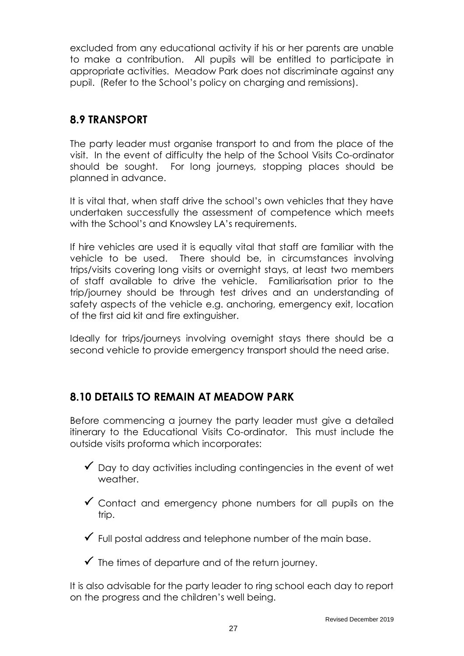excluded from any educational activity if his or her parents are unable to make a contribution. All pupils will be entitled to participate in appropriate activities. Meadow Park does not discriminate against any pupil. (Refer to the School's policy on charging and remissions).

# **8.9 TRANSPORT**

The party leader must organise transport to and from the place of the visit. In the event of difficulty the help of the School Visits Co-ordinator should be sought. For long journeys, stopping places should be planned in advance.

It is vital that, when staff drive the school's own vehicles that they have undertaken successfully the assessment of competence which meets with the School's and Knowsley LA's requirements.

If hire vehicles are used it is equally vital that staff are familiar with the vehicle to be used. There should be, in circumstances involving trips/visits covering long visits or overnight stays, at least two members of staff available to drive the vehicle. Familiarisation prior to the trip/journey should be through test drives and an understanding of safety aspects of the vehicle e.g. anchoring, emergency exit, location of the first aid kit and fire extinguisher.

Ideally for trips/journeys involving overnight stays there should be a second vehicle to provide emergency transport should the need arise.

## **8.10 DETAILS TO REMAIN AT MEADOW PARK**

Before commencing a journey the party leader must give a detailed itinerary to the Educational Visits Co-ordinator. This must include the outside visits proforma which incorporates:

- $\checkmark$  Day to day activities including contingencies in the event of wet weather.
- $\checkmark$  Contact and emergency phone numbers for all pupils on the trip.
- $\checkmark$  Full postal address and telephone number of the main base.
- $\checkmark$  The times of departure and of the return journey.

It is also advisable for the party leader to ring school each day to report on the progress and the children's well being.